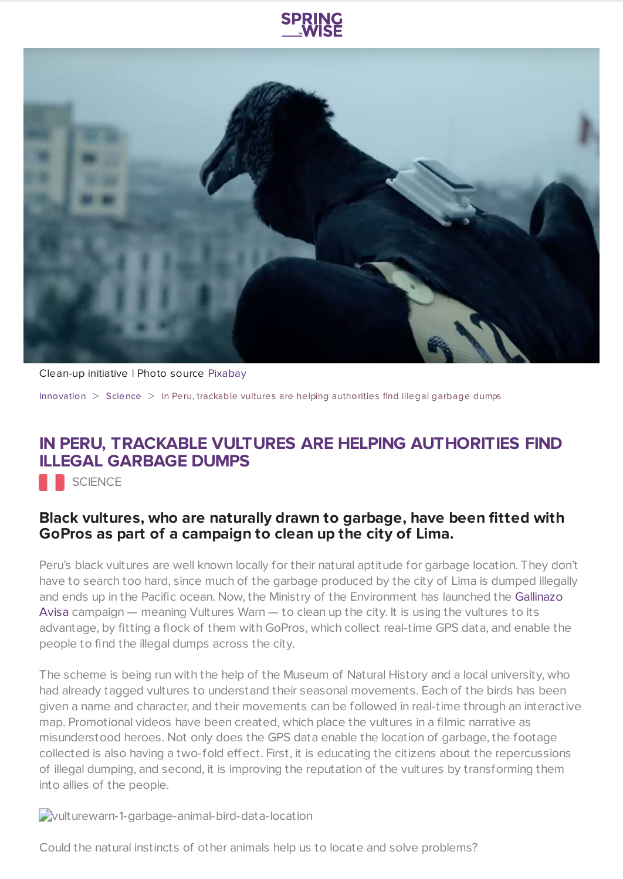



## Clean-up initiative | Photo source [Pixabay](https://pixabay.com/en/ecuador-black-vulture-birds-bird-91004/)

[Innovation](https://www.springwise.com/search?type=innovation) > [Science](https://www.springwise.com/search?type=innovation§or=science-and-natural-world) > In Peru, trackable vultures are helping authorities find illegal garbage dumps

## **IN PERU, TRACKABLE VULTURES ARE HELPING AUTHORITIES FIND ILLEGAL GARBAGE DUMPS**

**SCIENCE** 

## **Black vultures, who are naturally drawn to garbage, have been fitted with GoPros as part of a campaign to clean up the city of Lima.**

Peru's black vultures are well known locally for their natural aptitude for garbage location. They don't have to search too hard, since much of the garbage produced by the city of Lima is dumped illegally and ends up in the Pacific ocean. Now, the Ministry of the [Environment](http://www.gallinazoavisa.pe/) has launched the Gallinazo Avisa campaign — meaning Vultures Warn — to clean up the city. It is using the vultures to its advantage, by fitting a flock of them with GoPros, which collect real-time GPS data, and enable the people to find the illegal dumps across the city.

The scheme is being run with the help of the Museum of Natural History and a local university, who had already tagged vultures to understand their seasonal movements. Each of the birds has been given a name and character, and their movements can be followed in real-time through an interactive map. Promotional videos have been created, which place the vultures in a filmic narrative as misunderstood heroes. Not only does the GPS data enable the location of garbage, the footage collected is also having a two-fold effect. First, it is educating the citizens about the repercussions of illegal dumping, and second, it is improving the reputation of the vultures by transforming them into allies of the people.

vulturewarn-1-garbage-animal-bird-data-location

Could the natural instincts of other animals help us to locate and solve problems?